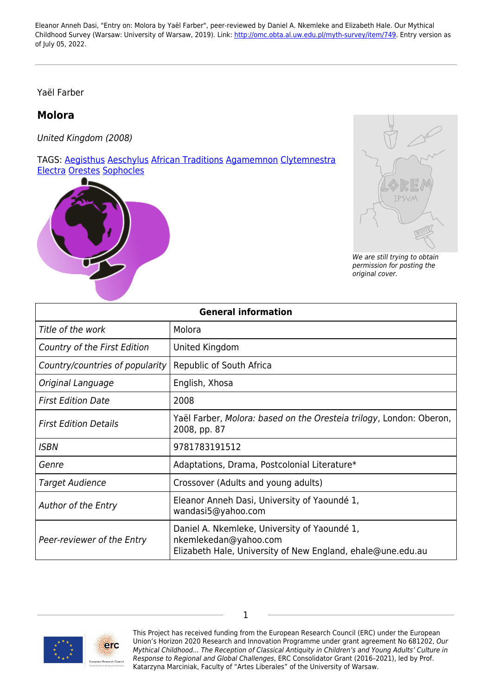Yaël Farber

## **Molora**

United Kingdom (2008)

TAGS: [Aegisthus](https://www.omc.obta.al.uw.edu.pl/myth-survey/tag/1668) [Aeschylus](https://www.omc.obta.al.uw.edu.pl/myth-survey/tag/401) [African Traditions](https://www.omc.obta.al.uw.edu.pl/myth-survey/tag/2040) [Agamemnon](https://www.omc.obta.al.uw.edu.pl/myth-survey/tag/218) [Clytemnestra](https://www.omc.obta.al.uw.edu.pl/myth-survey/tag/577) [Electra](https://www.omc.obta.al.uw.edu.pl/myth-survey/tag/1102) [Orestes](https://www.omc.obta.al.uw.edu.pl/myth-survey/tag/651) [Sophocles](https://www.omc.obta.al.uw.edu.pl/myth-survey/tag/317)





We are still trying to obtain permission for posting the original cover.

| <b>General information</b>      |                                                                                                                                      |
|---------------------------------|--------------------------------------------------------------------------------------------------------------------------------------|
| Title of the work               | Molora                                                                                                                               |
| Country of the First Edition    | United Kingdom                                                                                                                       |
| Country/countries of popularity | Republic of South Africa                                                                                                             |
| Original Language               | English, Xhosa                                                                                                                       |
| <b>First Edition Date</b>       | 2008                                                                                                                                 |
| <b>First Edition Details</b>    | Yaël Farber, Molora: based on the Oresteia trilogy, London: Oberon,<br>2008, pp. 87                                                  |
| <b>ISBN</b>                     | 9781783191512                                                                                                                        |
| Genre                           | Adaptations, Drama, Postcolonial Literature*                                                                                         |
| <b>Target Audience</b>          | Crossover (Adults and young adults)                                                                                                  |
| Author of the Entry             | Eleanor Anneh Dasi, University of Yaoundé 1,<br>wandasi5@yahoo.com                                                                   |
| Peer-reviewer of the Entry      | Daniel A. Nkemleke, University of Yaoundé 1,<br>nkemlekedan@yahoo.com<br>Elizabeth Hale, University of New England, ehale@une.edu.au |



This Project has received funding from the European Research Council (ERC) under the European Union's Horizon 2020 Research and Innovation Programme under grant agreement No 681202, Our Mythical Childhood... The Reception of Classical Antiquity in Children's and Young Adults' Culture in Response to Regional and Global Challenges, ERC Consolidator Grant (2016–2021), led by Prof. Katarzyna Marciniak, Faculty of "Artes Liberales" of the University of Warsaw.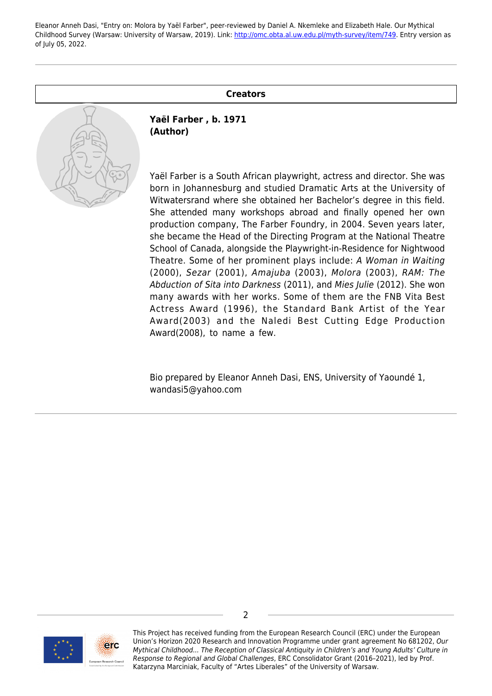## **Creators**



**Yaël Farber , b. 1971 (Author)**

Yaël Farber is a South African playwright, actress and director. She was born in Johannesburg and studied Dramatic Arts at the University of Witwatersrand where she obtained her Bachelor's degree in this field. She attended many workshops abroad and finally opened her own production company, The Farber Foundry, in 2004. Seven years later, she became the Head of the Directing Program at the National Theatre School of Canada, alongside the Playwright-in-Residence for Nightwood Theatre. Some of her prominent plays include: A Woman in Waiting (2000), Sezar (2001), Amajuba (2003), Molora (2003), RAM: The Abduction of Sita into Darkness (2011), and Mies Julie (2012). She won many awards with her works. Some of them are the FNB Vita Best Actress Award (1996), the Standard Bank Artist of the Year Award(2003) and the Naledi Best Cutting Edge Production Award(2008), to name a few.

Bio prepared by Eleanor Anneh Dasi, ENS, University of Yaoundé 1, wandasi5@yahoo.com



This Project has received funding from the European Research Council (ERC) under the European Union's Horizon 2020 Research and Innovation Programme under grant agreement No 681202, Our Mythical Childhood... The Reception of Classical Antiquity in Children's and Young Adults' Culture in Response to Regional and Global Challenges, ERC Consolidator Grant (2016–2021), led by Prof. Katarzyna Marciniak, Faculty of "Artes Liberales" of the University of Warsaw.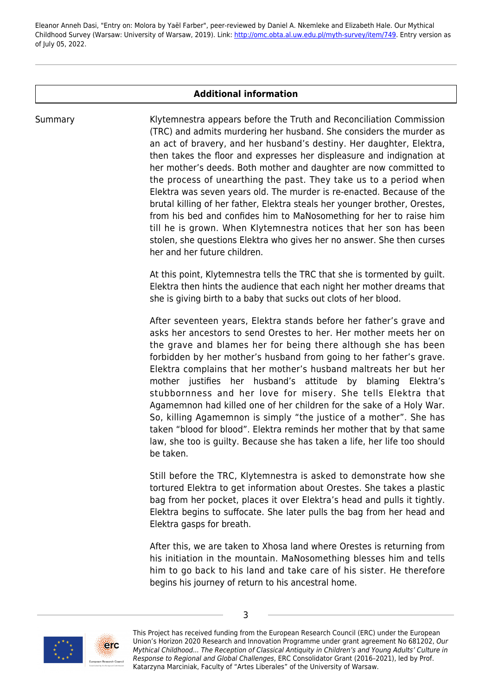## **Additional information**

Summary Klytemnestra appears before the Truth and Reconciliation Commission (TRC) and admits murdering her husband. She considers the murder as an act of bravery, and her husband's destiny. Her daughter, Elektra, then takes the floor and expresses her displeasure and indignation at her mother's deeds. Both mother and daughter are now committed to the process of unearthing the past. They take us to a period when Elektra was seven years old. The murder is re-enacted. Because of the brutal killing of her father, Elektra steals her younger brother, Orestes, from his bed and confides him to MaNosomething for her to raise him till he is grown. When Klytemnestra notices that her son has been stolen, she questions Elektra who gives her no answer. She then curses her and her future children.

> At this point, Klytemnestra tells the TRC that she is tormented by guilt. Elektra then hints the audience that each night her mother dreams that she is giving birth to a baby that sucks out clots of her blood.

> After seventeen years, Elektra stands before her father's grave and asks her ancestors to send Orestes to her. Her mother meets her on the grave and blames her for being there although she has been forbidden by her mother's husband from going to her father's grave. Elektra complains that her mother's husband maltreats her but her mother justifies her husband's attitude by blaming Elektra's stubbornness and her love for misery. She tells Elektra that Agamemnon had killed one of her children for the sake of a Holy War. So, killing Agamemnon is simply "the justice of a mother". She has taken "blood for blood". Elektra reminds her mother that by that same law, she too is guilty. Because she has taken a life, her life too should be taken.

> Still before the TRC, Klytemnestra is asked to demonstrate how she tortured Elektra to get information about Orestes. She takes a plastic bag from her pocket, places it over Elektra's head and pulls it tightly. Elektra begins to suffocate. She later pulls the bag from her head and Elektra gasps for breath.

> After this, we are taken to Xhosa land where Orestes is returning from his initiation in the mountain. MaNosomething blesses him and tells him to go back to his land and take care of his sister. He therefore begins his journey of return to his ancestral home.



This Project has received funding from the European Research Council (ERC) under the European Union's Horizon 2020 Research and Innovation Programme under grant agreement No 681202, Our Mythical Childhood... The Reception of Classical Antiquity in Children's and Young Adults' Culture in Response to Regional and Global Challenges, ERC Consolidator Grant (2016–2021), led by Prof. Katarzyna Marciniak, Faculty of "Artes Liberales" of the University of Warsaw.

3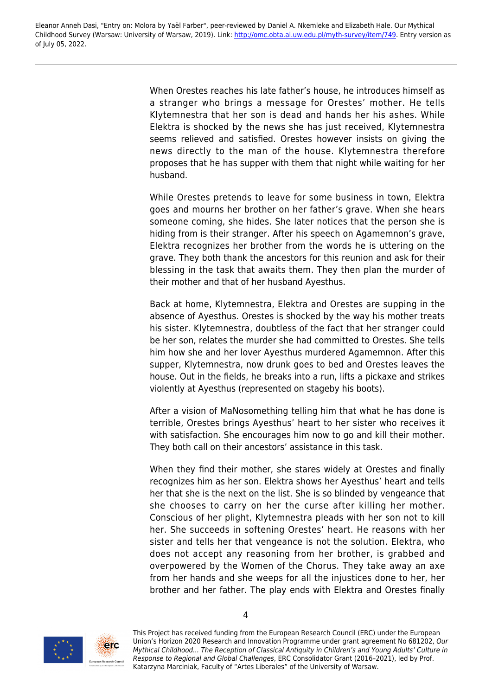> When Orestes reaches his late father's house, he introduces himself as a stranger who brings a message for Orestes' mother. He tells Klytemnestra that her son is dead and hands her his ashes. While Elektra is shocked by the news she has just received, Klytemnestra seems relieved and satisfied. Orestes however insists on giving the news directly to the man of the house. Klytemnestra therefore proposes that he has supper with them that night while waiting for her husband.

> While Orestes pretends to leave for some business in town, Elektra goes and mourns her brother on her father's grave. When she hears someone coming, she hides. She later notices that the person she is hiding from is their stranger. After his speech on Agamemnon's grave, Elektra recognizes her brother from the words he is uttering on the grave. They both thank the ancestors for this reunion and ask for their blessing in the task that awaits them. They then plan the murder of their mother and that of her husband Ayesthus.

> Back at home, Klytemnestra, Elektra and Orestes are supping in the absence of Ayesthus. Orestes is shocked by the way his mother treats his sister. Klytemnestra, doubtless of the fact that her stranger could be her son, relates the murder she had committed to Orestes. She tells him how she and her lover Ayesthus murdered Agamemnon. After this supper, Klytemnestra, now drunk goes to bed and Orestes leaves the house. Out in the fields, he breaks into a run, lifts a pickaxe and strikes violently at Ayesthus (represented on stageby his boots).

> After a vision of MaNosomething telling him that what he has done is terrible, Orestes brings Ayesthus' heart to her sister who receives it with satisfaction. She encourages him now to go and kill their mother. They both call on their ancestors' assistance in this task.

> When they find their mother, she stares widely at Orestes and finally recognizes him as her son. Elektra shows her Ayesthus' heart and tells her that she is the next on the list. She is so blinded by vengeance that she chooses to carry on her the curse after killing her mother. Conscious of her plight, Klytemnestra pleads with her son not to kill her. She succeeds in softening Orestes' heart. He reasons with her sister and tells her that vengeance is not the solution. Elektra, who does not accept any reasoning from her brother, is grabbed and overpowered by the Women of the Chorus. They take away an axe from her hands and she weeps for all the injustices done to her, her brother and her father. The play ends with Elektra and Orestes finally



This Project has received funding from the European Research Council (ERC) under the European Union's Horizon 2020 Research and Innovation Programme under grant agreement No 681202, Our Mythical Childhood... The Reception of Classical Antiquity in Children's and Young Adults' Culture in Response to Regional and Global Challenges, ERC Consolidator Grant (2016–2021), led by Prof. Katarzyna Marciniak, Faculty of "Artes Liberales" of the University of Warsaw.

4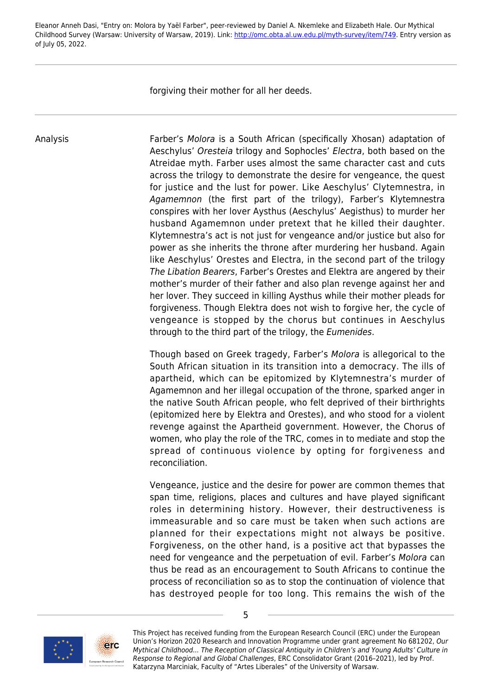forgiving their mother for all her deeds.

Analysis **Farber's Molora is a South African (specifically Xhosan) adaptation of** Aeschylus' Oresteia trilogy and Sophocles' Electra, both based on the Atreidae myth. Farber uses almost the same character cast and cuts across the trilogy to demonstrate the desire for vengeance, the quest for justice and the lust for power. Like Aeschylus' Clytemnestra, in Agamemnon (the first part of the trilogy), Farber's Klytemnestra conspires with her lover Aysthus (Aeschylus' Aegisthus) to murder her husband Agamemnon under pretext that he killed their daughter. Klytemnestra's act is not just for vengeance and/or justice but also for power as she inherits the throne after murdering her husband. Again like Aeschylus' Orestes and Electra, in the second part of the trilogy The Libation Bearers, Farber's Orestes and Elektra are angered by their mother's murder of their father and also plan revenge against her and her lover. They succeed in killing Aysthus while their mother pleads for forgiveness. Though Elektra does not wish to forgive her, the cycle of vengeance is stopped by the chorus but continues in Aeschylus through to the third part of the trilogy, the Eumenides.

> Though based on Greek tragedy, Farber's Molora is allegorical to the South African situation in its transition into a democracy. The ills of apartheid, which can be epitomized by Klytemnestra's murder of Agamemnon and her illegal occupation of the throne, sparked anger in the native South African people, who felt deprived of their birthrights (epitomized here by Elektra and Orestes), and who stood for a violent revenge against the Apartheid government. However, the Chorus of women, who play the role of the TRC, comes in to mediate and stop the spread of continuous violence by opting for forgiveness and reconciliation.

> Vengeance, justice and the desire for power are common themes that span time, religions, places and cultures and have played significant roles in determining history. However, their destructiveness is immeasurable and so care must be taken when such actions are planned for their expectations might not always be positive. Forgiveness, on the other hand, is a positive act that bypasses the need for vengeance and the perpetuation of evil. Farber's Molora can thus be read as an encouragement to South Africans to continue the process of reconciliation so as to stop the continuation of violence that has destroyed people for too long. This remains the wish of the



This Project has received funding from the European Research Council (ERC) under the European Union's Horizon 2020 Research and Innovation Programme under grant agreement No 681202, Our Mythical Childhood... The Reception of Classical Antiquity in Children's and Young Adults' Culture in Response to Regional and Global Challenges, ERC Consolidator Grant (2016–2021), led by Prof. Katarzyna Marciniak, Faculty of "Artes Liberales" of the University of Warsaw.

5